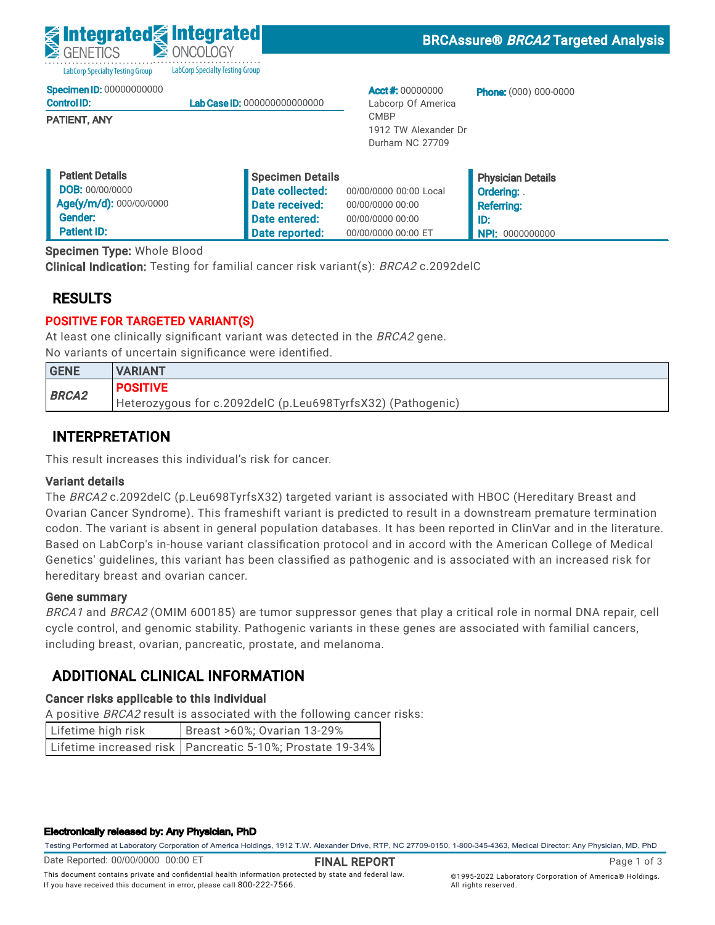LabCorp Specialty Testing Group **LabCorp Specialty Testing Group** 

Specimen ID: 00000000000

| <b>Control ID:</b> | <b>Lab Case ID: 000000000000000</b> |
|--------------------|-------------------------------------|
|                    |                                     |

PATIENT, ANY

Acct #: 00000000 Labcorp Of America CMBP 1912 TW Alexander Dr Durham NC 27709

**Phone:** (000) 000-0000

| <b>Patient Details</b>  | Specimen Details |                        | <b>Physician Details</b> |
|-------------------------|------------------|------------------------|--------------------------|
| <b>DOB: 00/00/0000</b>  | Date collected:  | 00/00/0000 00:00 Local | <b>Ordering:</b>         |
| Age(y/m/d): 000/00/0000 | Date received:   | 00/00/0000 00:00       | <b>Referring:</b>        |
| Gender:                 | Date entered:    | 00/00/0000 00:00       | ID:                      |
| <b>Patient ID:</b>      | Date reported:   | 00/00/0000 00:00 ET    | A NPI: 0000000000        |

Specimen Type: Whole Blood

Clinical Indication: Testing for familial cancer risk variant(s): BRCA2 c.2092delC

## RESULTS

## POSITIVE FOR TARGETED VARIANT(S)

At least one clinically significant variant was detected in the BRCA2 gene. No variants of uncertain significance were identified.

| <b>GENE</b>  | <b>VARIANT</b>                                              |
|--------------|-------------------------------------------------------------|
| <b>BRCA2</b> | <b>POSITIVE</b>                                             |
|              | Heterozygous for c.2092delC (p.Leu698TyrfsX32) (Pathogenic) |

## INTERPRETATION

This result increases this individual's risk for cancer.

### Variant details

The BRCA2 c.2092delC (p.Leu698TyrfsX32) targeted variant is associated with HBOC (Hereditary Breast and Ovarian Cancer Syndrome). This frameshift variant is predicted to result in a downstream premature termination codon. The variant is absent in general population databases. It has been reported in ClinVar and in the literature. Based on LabCorp's in-house variant classification protocol and in accord with the American College of Medical Genetics' guidelines, this variant has been classified as pathogenic and is associated with an increased risk for hereditary breast and ovarian cancer.

### Gene summary

BRCA1 and BRCA2 (OMIM 600185) are tumor suppressor genes that play a critical role in normal DNA repair, cell cycle control, and genomic stability. Pathogenic variants in these genes are associated with familial cancers, including breast, ovarian, pancreatic, prostate, and melanoma.

## ADDITIONAL CLINICAL INFORMATION

## Cancer risks applicable to this individual

A positive BRCA2 result is associated with the following cancer risks:

| Lifetime high risk | Breast >60%; Ovarian 13-29%                                 |
|--------------------|-------------------------------------------------------------|
|                    | Lifetime increased risk   Pancreatic 5-10%; Prostate 19-34% |

#### Electronically released by: Any Physician, PhD

Testing Performed at Laboratory Corporation of America Holdings, 1912 T.W. Alexander Drive, RTP, NC 27709-0150, 1-800-345-4363, Medical Director: Any Physician, MD, PhD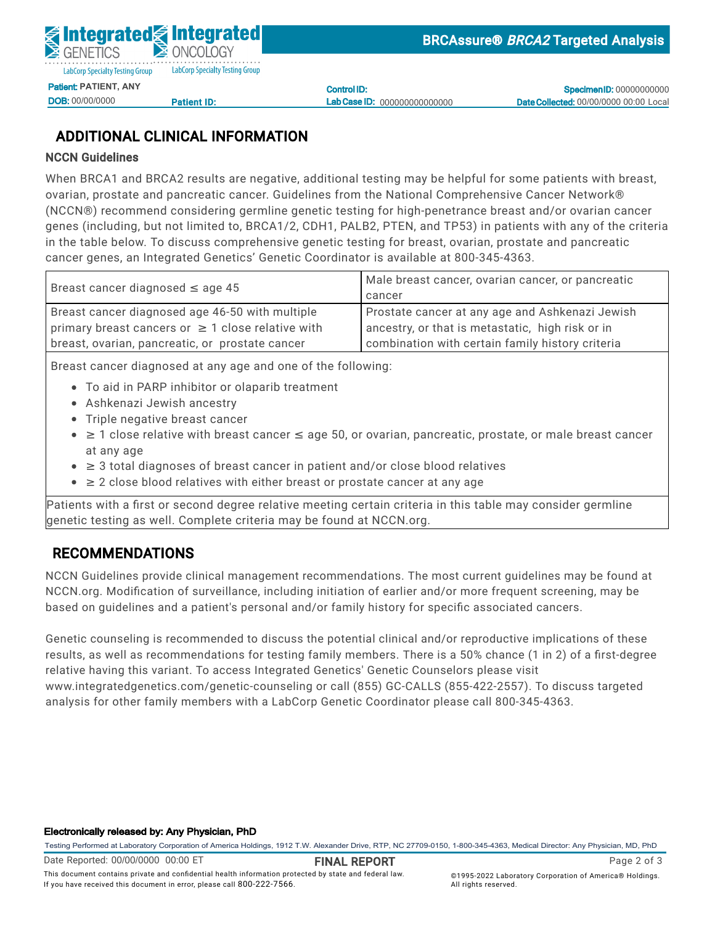

DOB: 00/00/0000

<u>Patient ID:</u>

Control ID: Lab Case ID: 000000000000000

**Specimen ID: 00000000000** Date Collected: 00/00/0000 00:00 Local

## ADDITIONAL CLINICAL INFORMATION

### NCCN Guidelines

When BRCA1 and BRCA2 results are negative, additional testing may be helpful for some patients with breast, ovarian, prostate and pancreatic cancer. Guidelines from the National Comprehensive Cancer Network® (NCCN®) recommend considering germline genetic testing for high-penetrance breast and/or ovarian cancer General Control Communications Patient International Date entered: 05/02/2022 11:56  $D \sim 2$ ,  $D \sim 11$ ,  $D \sim 2$ ,  $D \sim 2$ ID:<br>N:112 genes (including, but not limited to, BRCA1/2, CDH1, PALB2, PTEN, and TP53) in patients with any of the criteria<br>. Specimen Type: Whole Blood cancer genes, an Integrated Genetics' Genetic Coordinator is available at 800-345-4363. Clinical Indian Indian Indian Indian Cancer risk variant (s): BRCA2 c.2002delClinical c.2002delClinical c.2002 in the table below. To discuss comprehensive genetic testing for breast, ovarian, prostate and pancreatic

| Breast cancer diagnosed $\leq$ age 45                  | Male breast cancer, ovarian cancer, or pancreatic |
|--------------------------------------------------------|---------------------------------------------------|
|                                                        | cancer                                            |
| Breast cancer diagnosed age 46-50 with multiple        | Prostate cancer at any age and Ashkenazi Jewish   |
| primary breast cancers or $\geq$ 1 close relative with | ancestry, or that is metastatic, high risk or in  |
| breast, ovarian, pancreatic, or prostate cancer        | combination with certain family history criteria  |
|                                                        |                                                   |

Breast cancer diagnosed at any age and one of the following:

- To aid in PARP inhibitor or olaparib treatment
- **BRCA2 Ashkenazi Jewish ancestry**<br>• Ashkenazi Jewish ancestry
	- Triple negative breast cancer
- $\bullet~\geq$  1 close relative with breast cancer  $\leq$  age 50, or ovarian, pancreatic, prostate, or male breast cancer at any age
- This result increases this individual's risk for cancer. ≥ 3 total diagnoses of breast cancer in patient and/or close blood relatives
- $\bullet$   $\geq$  2 close blood relatives with either breast or prostate cancer at any age

Patients with a first or second degree relative meeting certain criteria in this table may consider germline Ovarian Cancer Syndrome Syndrome (Syndrome). This frameship variant is predicted to result in a downstream pre<br>In a downstream present in a download to result in a down the frame of the Cancer Syndrome of the syndrome of genetic testing as well. Complete criteria may be found at NCCN.org.  $\hskip20pt\hskip20pt\hskip20pt\hskip20pt\hskip20pt\hskip20pt\hskip20pt\hskip20pt\hskip20pt\hskip20pt\hskip20pt\hskip20pt\hskip20pt\hskip20pt\hskip20pt\hskip20pt\hskip20pt\hskip20pt\hskip20pt\hskip20pt\hskip20pt\hskip20pt\hskip20pt\hskip20pt\hskip20pt\h$ 

### RECOMMENDATIONS THE AMERICAN CLASSIFICATION protocol and in accord with the American College of Medical College of Medical College of Medical College of Medical College of Medical College of Medical College of Medical Coll GEOGWINENDATIONS

NCCN Guidelines provide clinical management recommendations. The most current guidelines may be found at NCCN.org. Modification of surveillance, including initiation of earlier and/or more frequent screening, may be<br>. based on guidelines and a patient's personal and/or family history for specific associated cancers.

analysis for other family members with a LabCorp Genetic Coordinator please call 800-345-4363. cycle control, and genomic stability. Pathogenic variants in these genes are associated with familial cancers, Genetic counseling is recommended to discuss the potential clinical and/or reproductive implications of these ADDITIONAL CLINICAL INFORMATION relative having this variant. To access Integrated Genetics' Genetic Counselors please visit results, as well as recommendations for testing family members. There is a 50% chance (1 in 2) of a first-degree www.integratedgenetics.com/genetic-counseling or call (855) GC-CALLS (855-422-2557). To discuss targeted

#### Electronically released by: Any Physician, PhD

Testing Performed at Laboratory Corporation of America Holdings, 1912 T.W. Alexander Drive, RTP, NC 27709-0150, 1-800-345-4363, Medical Director: Any Physician, MD, PhD